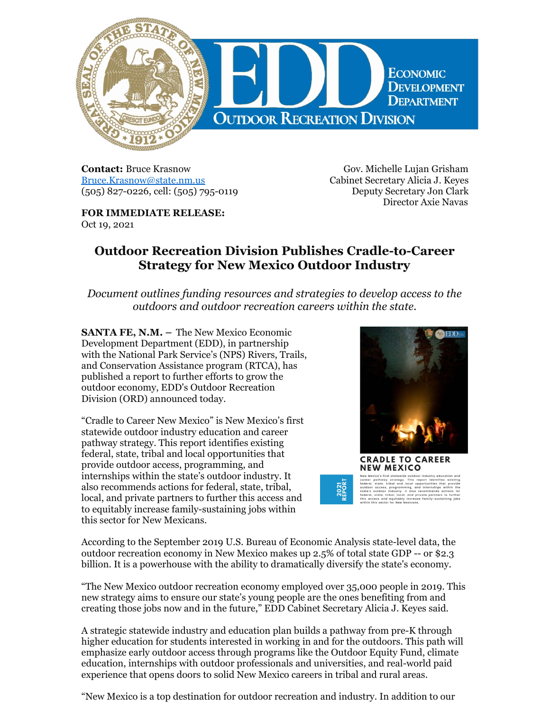

**Contact:** Bruce Krasnow [Bruce.Krasnow@state.nm.us](mailto:Bruce.Krasnow@state.nm.us) (505) 827-0226, cell: (505) 795-0119

**FOR IMMEDIATE RELEASE:** Oct 19, 2021

Gov. Michelle Lujan Grisham Cabinet Secretary Alicia J. Keyes Deputy Secretary Jon Clark Director Axie Navas

## **Outdoor Recreation Division Publishes Cradle-to-Career Strategy for New Mexico Outdoor Industry**

*Document outlines funding resources and strategies to develop access to the outdoors and outdoor recreation careers within the state.*

**SANTA FE, N.M. –** The New Mexico Economic Development Department (EDD), in partnership with the National Park Service's (NPS) Rivers, Trails, and Conservation Assistance program (RTCA), has published a report to further efforts to grow the outdoor economy, EDD's Outdoor Recreation Division (ORD) announced today.

"Cradle to Career New Mexico" is New Mexico's first statewide outdoor industry education and career pathway strategy. This report identifies existing federal, state, tribal and local opportunities that provide outdoor access, programming, and internships within the state's outdoor industry. It also recommends actions for federal, state, tribal, local, and private partners to further this access and to equitably increase family-sustaining jobs within this sector for New Mexicans.



According to the September 2019 U.S. Bureau of Economic Analysis state-level data, the outdoor recreation economy in New Mexico makes up 2.5% of total state GDP -- or \$2.3 billion. It is a powerhouse with the ability to dramatically diversify the state's economy.

2021<br>REPOR

"The New Mexico outdoor recreation economy employed over 35,000 people in 2019. This new strategy aims to ensure our state's young people are the ones benefiting from and creating those jobs now and in the future," EDD Cabinet Secretary Alicia J. Keyes said.

A strategic statewide industry and education plan builds a pathway from pre-K through higher education for students interested in working in and for the outdoors. This path will emphasize early outdoor access through programs like the Outdoor Equity Fund, climate education, internships with outdoor professionals and universities, and real-world paid experience that opens doors to solid New Mexico careers in tribal and rural areas.

"New Mexico is a top destination for outdoor recreation and industry. In addition to our